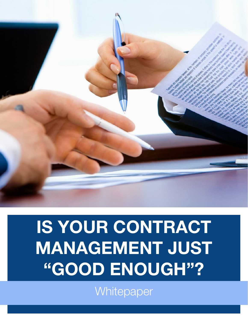

# IS YOUR CONTRACT MANAGEMENT JUST "GOOD ENOUGH"?

**Whitepaper**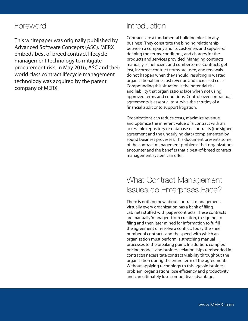# Foreword

This whitepaper was originally published by Advanced Software Concepts (ASC). MERX embeds best of breed contract lifecycle management technology to mitigate procurement risk. In May 2016, ASC and their world class contract lifecycle management technology was acquired by the parent company of MERX.

# **Introduction**

Contracts are a fundamental building block in any business. They constitute the binding relationship between a company and its customers and suppliers; defining the terms, conditions, and charges for the products and services provided. Managing contracts manually is inefficient and cumbersome. Contracts get lost, incorrect contract terms are used, and renewals do not happen when they should, resulting in wasted organizational time, lost revenue and increased costs. Compounding this situation is the potential risk and liability that organizations face when not using approved terms and conditions. Control over contractual agreements is essential to survive the scrutiny of a financial audit or to support litigation.

Organizations can reduce costs, maximize revenue and optimize the inherent value of a contract with an accessible repository or database of contracts (the signed agreement and the underlying data) complemented by sound business processes. This document presents some of the contract management problems that organizations encounter and the benefits that a best-of-breed contract management system can offer.

# What Contract Management Issues do Enterprises Face?

There is nothing new about contract management. Virtually every organization has a bank of filing cabinets stuffed with paper contracts. These contracts are manually 'managed' from creation, to signing, to filing and then later mined for information to fulfill the agreement or resolve a conflict. Today the sheer number of contracts and the speed with which an organization must perform is stretching manual processes to the breaking point. In addition, complex pricing models and business relationships (embedded in contracts) necessitate contract visibility throughout the organization during the entire term of the agreement. Without applying technology to this age old business problem, organizations lose efficiency and productivity and can ultimately lose competitive advantage.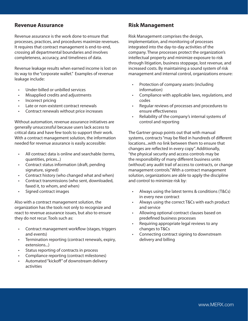## **Revenue Assurance**

Revenue assurance is the work done to ensure that processes, practices, and procedures maximize revenues. It requires that contract management is end-to-end, crossing all departmental boundaries and involves completeness, accuracy, and timeliness of data.

Revenue leakage results when earned income is lost on its way to the "corporate wallet." Examples of revenue leakage include:

- Under-billed or unbilled services
- Misapplied credits and adjustments
- Incorrect pricing
- Late or non-existent contract renewals
- Contract renewals without price increases

Without automation, revenue assurance initiatives are generally unsuccessful because users lack access to critical data and have few tools to support their work. With a contract management solution, the information needed for revenue assurance is easily accessible:

- All contract data is online and searchable (terms, quantities, prices...)
- Contract status information (draft, pending signature, signed)
- Contract history (who changed what and when)
- Contract transmissions (who sent, downloaded, faxed it, to whom, and when)
- Signed contract images

Also with a contract management solution, the organization has the tools not only to recognize and react to revenue assurance issues, but also to ensure they do not recur. Tools such as:

- Contract management workflow (stages, triggers and events)
- Termination reporting (contract renewals, expiry, extensions...)
- Status reporting of contracts in process
- Compliance reporting (contract milestones)
- Automated "kickoff" of downstream delivery activities

#### **Risk Management**

Risk Management comprises the design, implementation, and monitoring of processes integrated into the day-to-day activities of the company. These processes protect the organization's intellectual property and minimize exposure to risk through litigation, business stoppage, lost revenue, and increased costs. By maintaining a sound system of risk management and internal control, organizations ensure:

- Protection of company assets (including information)
- Compliance with applicable laws, regulations, and codes
- Regular reviews of processes and procedures to ensure effectiveness
- Reliability of the company's internal systems of control and reporting

The Gartner group points out that with manual systems, contracts "may be filed in hundreds of different locations...with no link between them to ensure that changes are reflected in every copy". Additionally, "the physical security and access controls may be the responsibility of many different business units (without) any audit trail of access to contracts, or change management controls." With a contract management solution, organizations are able to apply the discipline and control to minimize risk by:

- Always using the latest terms & conditions (T&Cs) in every new contract
- Always using the correct T&Cs with each product and service
- Allowing optional contract clauses based on predefined business processes
- Requiring appropriate legal reviews to any changes to T&Cs
- Connecting contract signing to downstream delivery and billing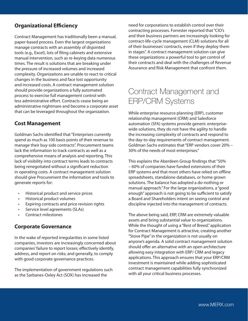## **Organizational Efficiency**

Contract Management has traditionally been a manual, paper-based process. Even the largest organizations manage contracts with an assembly of disjointed tools (e.g., Excel), lots of filing cabinets and extensive manual intervention, such as re-keying data numerous times. The result is solutions that are breaking under the pressure of increased volumes and increased complexity. Organizations are unable to react to critical changes in the business and face lost opportunity and increased costs. A contract management solution should provide organizations a fully automated process to exercise full management control with less administrative effort. Contracts cease being an administrative nightmare and become a corporate asset that can be leveraged throughout the organization.

## **Cost Management**

Goldman Sachs identified that "Enterprises currently spend as much as 100 basis points of their revenue to manage their buy-side contracts". Procurement teams lack the information to track contracts as well as a comprehensive means of analysis and reporting. This lack of visibility into contract terms leads to contracts being renegotiated without a significant reduction in operating costs. A contract management solution should give Procurement the information and tools to generate reports for:

- Historical product and service prices
- Historical product volumes
- Expiring contracts and price revision rights
- Service level agreements (SLAs)
- Contract milestones

## **Corporate Governance**

In the wake of reported irregularities in some listed companies, investors are increasingly concerned about companies' failure to report losses; effectively identify, address, and report on risks; and generally, to comply with good corporate governance practices.

The implementation of government regulations such as the Sarbanes-Oxley Act (SOX) has increased the

need for corporations to establish control over their contracting processes. Forrester reported that "CIO's and their business partners are increasingly looking for contract-life-cycle management (CLM) solutions for all of their businesses' contracts, even if they deploy them in stages". A contract management solution can give these organizations a powerful tool to get control of their contracts and deal with the challenges of Revenue Assurance and Risk Management that confront them.

# Contract Management and ERP/CRM Systems

While enterprise resource planning (ERP), customer relationship management (CRM) and Salesforce automation (SFA) systems provide generic enterprisewide solutions, they do not have the agility to handle the increasing complexity of contracts and respond to the day-to-day requirements of contract management. Goldman Sachs estimates that "ERP vendors cover 20% – 30% of the needs of most enterprises."

This explains the Aberdeen Group findings that "50% – 60% of companies have funded extensions of their ERP systems and that most others have relied on offline spreadsheets, standalone databases, or home grown solutions. The balance has adopted a do-nothing or manual approach." For the large organizations, a "good enough" approach is not going to be sufficient to satisfy a Board and Shareholders intent on seeing control and discipline injected into the management of contracts.

The above being said, ERP, CRM are extremely valuable assets and bring substantial value to organizations. While the thought of using a "Best of Breed," application for Contract Management is attractive, creating another "Stove Pipe" in the organization is not usually on anyone's agenda. A solid contract management solution should offer an alternative with an open architecture allowing easy integration with ERP/ CRM and legacy applications. This approach ensures that your ERP/CRM investment is maintained while adding sophisticated contract management capabilities fully synchronized with all your critical business processes.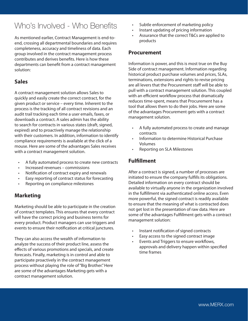# Who's Involved - Who Benefits

As mentioned earlier, Contract Management is end-toend, crossing all departmental boundaries and requires completeness, accuracy and timeliness of data. Each group involved in the contract management process contributes and derives benefits. Here is how these departments can benefit from a contract management solution:

## **Sales**

A contract management solution allows Sales to quickly and easily create the correct contract, for the given product or service – every time. Inherent to the process is the tracking of all contract revisions and an audit trail tracking each time a user emails, faxes, or downloads a contract. A sales admin has the ability to search for contracts in various states (draft, signed, expired) and to proactively manage the relationship with their customers. In addition, information to identify compliance requirements is available at the click of a mouse. Here are some of the advantages Sales receives with a contract management solution.

- A fully automated process to create new contracts
- Increased revenues commissions
- Notification of contract expiry and renewals
- Easy reporting of contract status for forecasting
- Reporting on compliance milestones

## **Marketing**

Marketing should be able to participate in the creation of contract templates. This ensures that every contract will have the correct pricing and business terms for every product. Product managers can use triggers and events to ensure their notification at critical junctures.

They can also access the wealth of information to analyze the success of their product line, assess the effects of various promotions and specials, and create forecasts. Finally, marketing is in control and able to participate proactively in the contract management process without playing the role of "Big Brother." Here are some of the advantages Marketing gets with a contract management solution.

- Subtle enforcement of marketing policy
- Instant updating of pricing information
- Assurance that the correct T&Cs are applied to products

## **Procurement**

Information is power, and this is most true on the Buy Side of contract management. Information regarding historical product purchase volumes and prices, SLAs, terminations, extensions and rights to revise pricing are all levers that the Procurement staff will be able to pull with a contract management solution. This coupled with an efficient workflow process that dramatically reduces time-spent, means that Procurement has a tool that allows them to do their jobs. Here are some of the advantages Procurement gets with a contract management solution.

- A fully automated process to create and manage contracts
- Information to determine Historical Purchase Volumes
- Reporting on SLA Milestones

## **Fulfillment**

After a contract is signed, a number of processes are initiated to ensure the company fulfills its obligations. Detailed information on every contract should be available to virtually anyone in the organization involved in the fulfillment via authenticated online access. Even more powerful, the signed contract is readily available to ensure that the meaning of what is contracted does not get lost in the presentation of raw data. Here are some of the advantages Fulfillment gets with a contract management solution:

- Instant notification of signed contracts
- Easy access to the signed contract image
- Events and Triggers to ensure workflows, approvals and delivery happen within specified time frames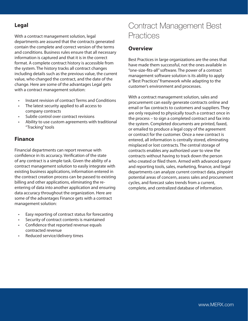## **Legal**

With a contract management solution, legal departments are assured that the contracts generated contain the complete and correct version of the terms and conditions. Business rules ensure that all necessary information is captured and that it is in the correct format. A complete contract history is accessible from the system. The history tracks all contract changes including details such as the previous value, the current value, who changed the contract, and the date of the change. Here are some of the advantages Legal gets with a contract management solution:

- Instant revision of contract Terms and Conditions
- The latest security applied to all access to company contracts
- Subtle control over contract revisions
- Ability to use custom agreements with traditional "Tracking" tools

## **Finance**

Financial departments can report revenue with confidence in its accuracy. Verification of the state of any contract is a simple task. Given the ability of a contract management solution to easily integrate with existing business applications, information entered in the contract creation process can be passed to existing billing and other applications, eliminating the reentering of data into another application and ensuring data accuracy throughout the organization. Here are some of the advantages Finance gets with a contract management solution:

- Easy reporting of contract status for forecasting
- Security of contract contents is maintained
- Confidence that reported revenue equals contracted revenue
- Reduced service/delivery times

# Contract Management Best **Practices**

#### **Overview**

Best Practices in large organizations are the ones that have made them successful, not the ones available in "one-size-fits-all" software. The power of a contract management software solution is its ability to apply a "Best Practices" framework while adapting to the customer's environment and processes.

With a contract management solution, sales and procurement can easily generate contracts online and email or fax contracts to customers and suppliers. They are only required to physically touch a contract once in the process – to sign a completed contract and fax into the system. Completed documents are printed, faxed, or emailed to produce a legal copy of the agreement or contract for the customer. Once a new contract is entered, all information is centrally stored, eliminating misplaced or lost contracts. The central storage of contracts enables any authorized user to view the contracts without having to track down the person who created or filed them. Armed with advanced query and reporting tools, sales, marketing, finance, and legal departments can analyze current contract data, pinpoint potential areas of concern, assess sales and procurement cycles, and forecast sales trends from a current, complete, and centralized database of information.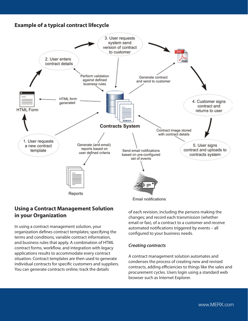## **Example of a typical contract lifecycle**



## **Using a Contract Management Solution in your Organization**

In using a contract management solution, your organization defines contract templates; specifying the terms and conditions, variable contract information, and business rules that apply. A combination of HTML contract forms, workflow, and integration with legacy applications results to accommodate every contract situation. Contract templates are then used to generate individual contracts for specific customers and suppliers. You can generate contracts online; track the details

of each revision, including the persons making the changes; and record each transmission (whether email or fax), of a contract to a customer and receive automated notifications triggered by events – all configured to your business needs.

#### *Creating contracts*

A contract management solution automates and condenses the process of creating new and revised contracts, adding efficiencies to things like the sales and procurement cycles. Users login using a standard web browser such as Internet Explorer.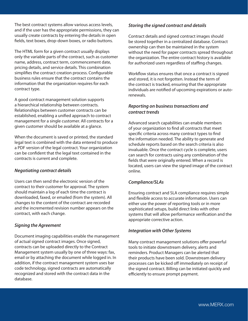The best contract systems allow various access levels, and if the user has the appropriate permissions, they can usually create contracts by entering the details in open fields, text boxes, drop-down boxes, or radio buttons.

The HTML form for a given contract usually displays only the variable parts of the contract, such as customer name, address, contract term, commencement date, pricing details, and service details. This combination simplifies the contract creation process. Configurable business rules ensure that the contract contains the information that the organization requires for each contract type.

A good contract management solution supports a hierarchical relationship between contracts. Relationships between customer contracts can be established, enabling a unified approach to contract management for a single customer. All contracts for a given customer should be available at a glance.

When the document is saved or printed, the standard legal text is combined with the data entered to produce a PDF version of the legal contract. Your organization can be confident that the legal text contained in the contracts is current and complete.

#### *Negotiating contract details*

Users can then send the electronic version of the contract to their customer for approval. The system should maintain a log of each time the contract is downloaded, faxed, or emailed (from the system). All changes to the content of the contract are recorded and the incremented revision number appears on the contract, with each change.

#### *Signing the Agreement*

Document imaging capabilities enable the management of actual signed contract images. Once signed, contracts can be uploaded directly to the Contract Management system usually by one of three ways: fax, email or by attaching the document while logged in. In addition, if the contract management system uses bar code technology, signed contracts are automatically recognized and stored with the contract data in the database.

#### *Storing the signed contract and details*

Contract details and signed contract images should be stored together in a centralized database. Contract ownership can then be maintained in the system without the need for paper contracts spread throughout the organization. The entire contract history is available for authorized users regardless of staffing changes.

Workflow status ensures that once a contract is signed and stored, it is not forgotten. Instead the term of the contract is tracked, ensuring that the appropriate individuals are notified of upcoming expirations or autorenewals.

#### *Reporting on business transactions and contract trends*

Advanced search capabilities can enable members of your organization to find all contracts that meet specific criteria across many contract types to find the information needed. The ability to generate and schedule reports based on the search criteria is also invaluable. Once the contract cycle is complete, users can search for contracts using any combination of the fields that were originally entered. When a record is located, users can view the signed image of the contract online.

#### *Compliance/SLAs*

Ensuring contract and SLA compliance requires simple and flexible access to accurate information. Users can either use the power of reporting tools or in more sophisticated setups, build direct links with other systems that will allow performance verification and the appropriate corrective action.

#### *Integration with Other Systems*

Many contract management solutions offer powerful tools to initiate downstream delivery, alerts and reminders. Product Managers can be alerted that their products have been sold. Downstream delivery processes can be kicked off immediately on receipt of the signed contract. Billing can be initiated quickly and efficiently to ensure prompt payment.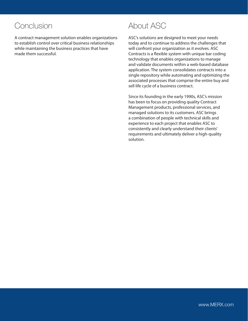# Conclusion

A contract management solution enables organizations to establish control over critical business relationships while maintaining the business practices that have made them successful.

# About ASC

ASC's solutions are designed to meet your needs today and to continue to address the challenges that will confront your organization as it evolves. ASC Contracts is a flexible system with unique bar coding technology that enables organizations to manage and validate documents within a web-based database application. The system consolidates contracts into a single repository while automating and optimizing the associated processes that comprise the entire buy and sell life cycle of a business contract.

Since its founding in the early 1990s, ASC's mission has been to focus on providing quality Contract Management products, professional services, and managed solutions to its customers. ASC brings a combination of people with technical skills and experience to each project that enables ASC to consistently and clearly understand their clients' requirements and ultimately deliver a high-quality solution.